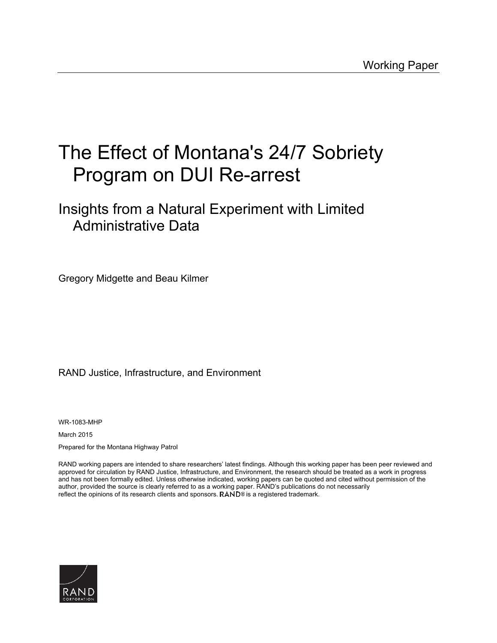# The Effect of Montana's 24/7 Sobriety Program on DUI Re-arrest

# Insights from a Natural Experiment with Limited Administrative Data

Gregory Midgette and Beau Kilmer

# RAND Justice, Infrastructure, and Environment

WR-1083-MHP

March 2015

Prepared for the Montana Highway Patrol

RAND working papers are intended to share researchers' latest findings. Although this working paper has been peer reviewed and approved for circulation by RAND Justice, Infrastructure, and Environment, the research should be treated as a work in progress and has not been formally edited. Unless otherwise indicated, working papers can be quoted and cited without permission of the author, provided the source is clearly referred to as a working paper. RAND's publications do not necessarily reflect the opinions of its research clients and sponsors.  $\mathsf{RAND}^{\circledast}$  is a registered trademark.

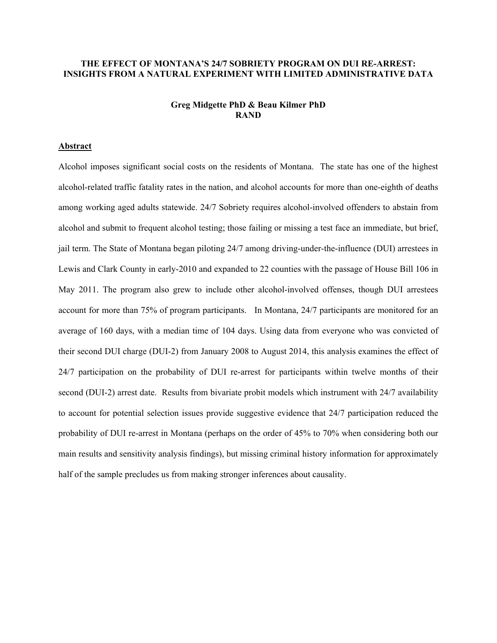# **THE EFFECT OF MONTANA'S 24/7 SOBRIETY PROGRAM ON DUI RE-ARREST: INSIGHTS FROM A NATURAL EXPERIMENT WITH LIMITED ADMINISTRATIVE DATA**

# **Greg Midgette PhD & Beau Kilmer PhD RAND**

# **Abstract**

Alcohol imposes significant social costs on the residents of Montana. The state has one of the highest alcohol-related traffic fatality rates in the nation, and alcohol accounts for more than one-eighth of deaths among working aged adults statewide. 24/7 Sobriety requires alcohol-involved offenders to abstain from alcohol and submit to frequent alcohol testing; those failing or missing a test face an immediate, but brief, jail term. The State of Montana began piloting 24/7 among driving-under-the-influence (DUI) arrestees in Lewis and Clark County in early-2010 and expanded to 22 counties with the passage of House Bill 106 in May 2011. The program also grew to include other alcohol-involved offenses, though DUI arrestees account for more than 75% of program participants. In Montana, 24/7 participants are monitored for an average of 160 days, with a median time of 104 days. Using data from everyone who was convicted of their second DUI charge (DUI-2) from January 2008 to August 2014, this analysis examines the effect of 24/7 participation on the probability of DUI re-arrest for participants within twelve months of their second (DUI-2) arrest date. Results from bivariate probit models which instrument with 24/7 availability to account for potential selection issues provide suggestive evidence that 24/7 participation reduced the probability of DUI re-arrest in Montana (perhaps on the order of 45% to 70% when considering both our main results and sensitivity analysis findings), but missing criminal history information for approximately half of the sample precludes us from making stronger inferences about causality.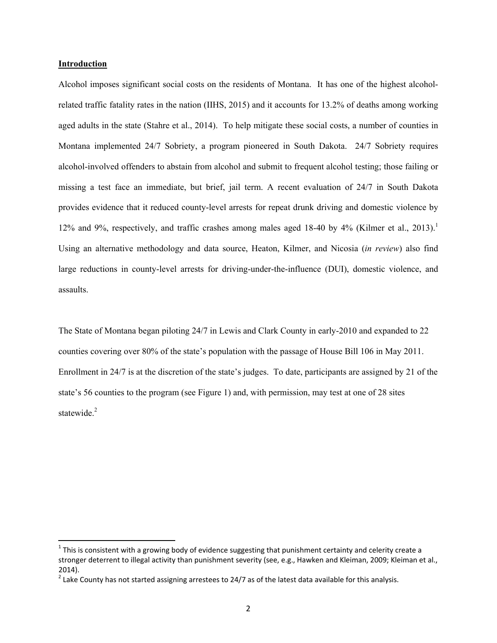# **Introduction**

Alcohol imposes significant social costs on the residents of Montana. It has one of the highest alcoholrelated traffic fatality rates in the nation (IIHS, 2015) and it accounts for 13.2% of deaths among working aged adults in the state (Stahre et al., 2014). To help mitigate these social costs, a number of counties in Montana implemented 24/7 Sobriety, a program pioneered in South Dakota. 24/7 Sobriety requires alcohol-involved offenders to abstain from alcohol and submit to frequent alcohol testing; those failing or missing a test face an immediate, but brief, jail term. A recent evaluation of 24/7 in South Dakota provides evidence that it reduced county-level arrests for repeat drunk driving and domestic violence by 12% and 9%, respectively, and traffic crashes among males aged 18-40 by 4% (Kilmer et al., 2013).<sup>1</sup> Using an alternative methodology and data source, Heaton, Kilmer, and Nicosia (*in review*) also find large reductions in county-level arrests for driving-under-the-influence (DUI), domestic violence, and assaults.

The State of Montana began piloting 24/7 in Lewis and Clark County in early-2010 and expanded to 22 counties covering over 80% of the state's population with the passage of House Bill 106 in May 2011. Enrollment in 24/7 is at the discretion of the state's judges. To date, participants are assigned by 21 of the state's 56 counties to the program (see Figure 1) and, with permission, may test at one of 28 sites statewide.<sup>2</sup>

 $1$  This is consistent with a growing body of evidence suggesting that punishment certainty and celerity create a stronger deterrent to illegal activity than punishment severity (see, e.g., Hawken and Kleiman, 2009; Kleiman et al., 2014).

<sup>&</sup>lt;sup>2</sup> Lake County has not started assigning arrestees to 24/7 as of the latest data available for this analysis.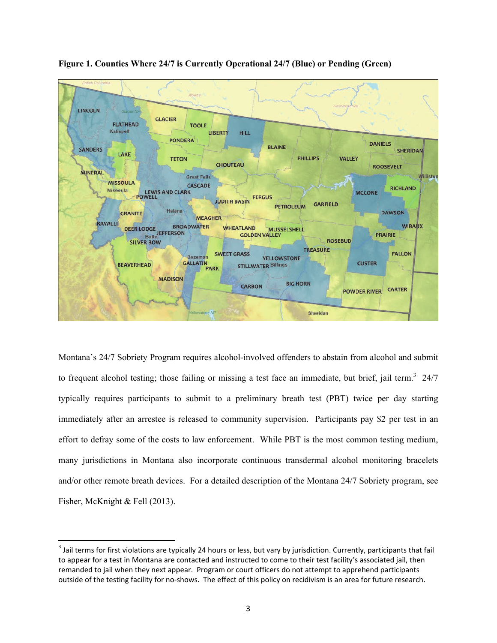

**Figure 1. Counties Where 24/7 is Currently Operational 24/7 (Blue) or Pending (Green)** 

Montana's 24/7 Sobriety Program requires alcohol-involved offenders to abstain from alcohol and submit to frequent alcohol testing; those failing or missing a test face an immediate, but brief, jail term.<sup>3</sup> 24/7 typically requires participants to submit to a preliminary breath test (PBT) twice per day starting immediately after an arrestee is released to community supervision. Participants pay \$2 per test in an effort to defray some of the costs to law enforcement. While PBT is the most common testing medium, many jurisdictions in Montana also incorporate continuous transdermal alcohol monitoring bracelets and/or other remote breath devices. For a detailed description of the Montana 24/7 Sobriety program, see Fisher, McKnight & Fell (2013).

 $3$  Jail terms for first violations are typically 24 hours or less, but vary by jurisdiction. Currently, participants that fail to appear for a test in Montana are contacted and instructed to come to their test facility's associated jail, then remanded to jail when they next appear. Program or court officers do not attempt to apprehend participants outside of the testing facility for no‐shows. The effect of this policy on recidivism is an area for future research.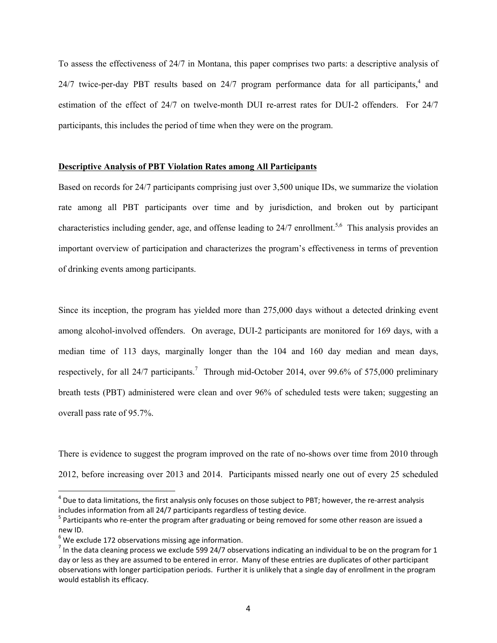To assess the effectiveness of 24/7 in Montana, this paper comprises two parts: a descriptive analysis of 24/7 twice-per-day PBT results based on 24/7 program performance data for all participants, $4$  and estimation of the effect of 24/7 on twelve-month DUI re-arrest rates for DUI-2 offenders. For 24/7 participants, this includes the period of time when they were on the program.

# **Descriptive Analysis of PBT Violation Rates among All Participants**

Based on records for 24/7 participants comprising just over 3,500 unique IDs, we summarize the violation rate among all PBT participants over time and by jurisdiction, and broken out by participant characteristics including gender, age, and offense leading to  $24/7$  enrollment.<sup>5,6</sup> This analysis provides an important overview of participation and characterizes the program's effectiveness in terms of prevention of drinking events among participants.

Since its inception, the program has yielded more than 275,000 days without a detected drinking event among alcohol-involved offenders. On average, DUI-2 participants are monitored for 169 days, with a median time of 113 days, marginally longer than the 104 and 160 day median and mean days, respectively, for all  $24/7$  participants.<sup>7</sup> Through mid-October 2014, over 99.6% of 575,000 preliminary breath tests (PBT) administered were clean and over 96% of scheduled tests were taken; suggesting an overall pass rate of 95.7%.

There is evidence to suggest the program improved on the rate of no-shows over time from 2010 through 2012, before increasing over 2013 and 2014. Participants missed nearly one out of every 25 scheduled

 $^4$  Due to data limitations, the first analysis only focuses on those subject to PBT; however, the re-arrest analysis includes information from all 24/7 participants regardless of testing device.<br><sup>5</sup> Participants who re‐enter the program after graduating or being removed for some other reason are issued a

new ID.<br><sup>6</sup> We exclude 172 observations missing age information.<br><sup>7</sup> In the data cleaning process we exclude 599 24/7 observations indicating an individual to be on the program for 1

day or less as they are assumed to be entered in error. Many of these entries are duplicates of other participant observations with longer participation periods. Further it is unlikely that a single day of enrollment in the program would establish its efficacy.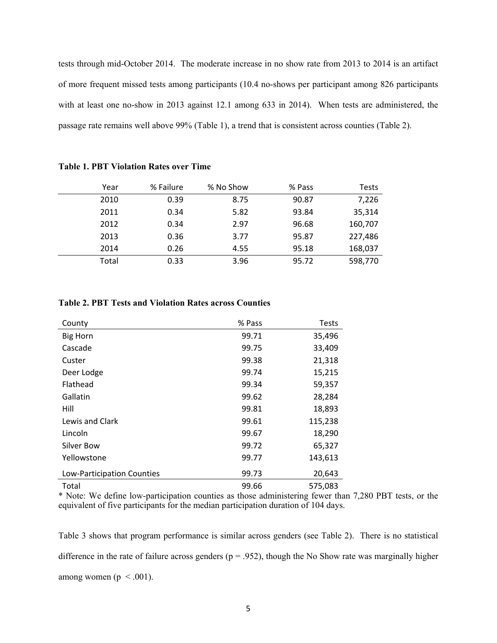tests through mid-October 2014. The moderate increase in no show rate from 2013 to 2014 is an artifact of more frequent missed tests among participants (10.4 no-shows per participant among 826 participants with at least one no-show in 2013 against 12.1 among 633 in 2014). When tests are administered, the passage rate remains well above 99% (Table 1), a trend that is consistent across counties (Table 2).

| Year  | % Failure | % No Show | % Pass | Tests   |
|-------|-----------|-----------|--------|---------|
| 2010  | 0.39      | 8.75      | 90.87  | 7,226   |
| 2011  | 0.34      | 5.82      | 93.84  | 35,314  |
| 2012  | 0.34      | 2.97      | 96.68  | 160,707 |
| 2013  | 0.36      | 3.77      | 95.87  | 227,486 |
| 2014  | 0.26      | 4.55      | 95.18  | 168,037 |
| Total | 0.33      | 3.96      | 95.72  | 598,770 |

|  |  |  | <b>Table 1. PBT Violation Rates over Time</b> |  |  |  |
|--|--|--|-----------------------------------------------|--|--|--|
|--|--|--|-----------------------------------------------|--|--|--|

# **Table 2. PBT Tests and Violation Rates across Counties**

| County                     | % Pass | <b>Tests</b> |
|----------------------------|--------|--------------|
| <b>Big Horn</b>            | 99.71  | 35,496       |
| Cascade                    | 99.75  | 33,409       |
| Custer                     | 99.38  | 21,318       |
| Deer Lodge                 | 99.74  | 15,215       |
| Flathead                   | 99.34  | 59,357       |
| Gallatin                   | 99.62  | 28,284       |
| Hill                       | 99.81  | 18,893       |
| Lewis and Clark            | 99.61  | 115,238      |
| Lincoln                    | 99.67  | 18,290       |
| Silver Bow                 | 99.72  | 65,327       |
| Yellowstone                | 99.77  | 143,613      |
| Low-Participation Counties | 99.73  | 20,643       |
| Total                      | 99.66  | 575,083      |

\* Note: We define low-participation counties as those administering fewer than 7,280 PBT tests, or the equivalent of five participants for the median participation duration of 104 days.

Table 3 shows that program performance is similar across genders (see Table 2). There is no statistical difference in the rate of failure across genders ( $p = .952$ ), though the No Show rate was marginally higher among women ( $p < .001$ ).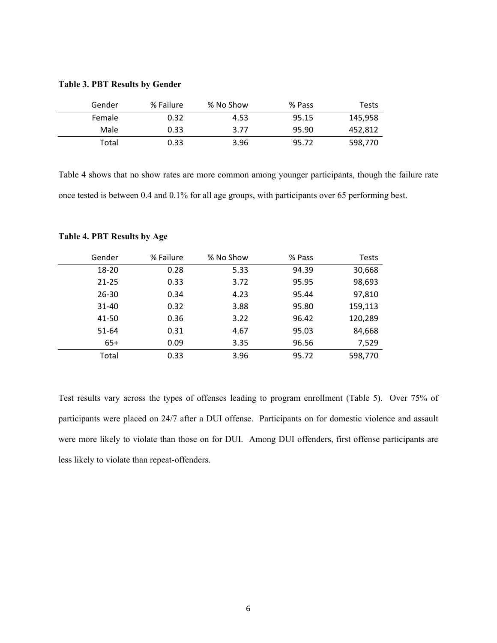| Gender | % Failure | % No Show | % Pass | Tests   |
|--------|-----------|-----------|--------|---------|
| Female | 0.32      | 4.53      | 95.15  | 145,958 |
| Male   | 0.33      | 3.77      | 95.90  | 452,812 |

# **Table 3. PBT Results by Gender**

Table 4 shows that no show rates are more common among younger participants, though the failure rate once tested is between 0.4 and 0.1% for all age groups, with participants over 65 performing best.

Total 0.33 3.96 95.72 598,770

| Gender    | % Failure | % No Show | % Pass | <b>Tests</b> |
|-----------|-----------|-----------|--------|--------------|
| 18-20     | 0.28      | 5.33      | 94.39  | 30,668       |
| $21 - 25$ | 0.33      | 3.72      | 95.95  | 98,693       |
| $26 - 30$ | 0.34      | 4.23      | 95.44  | 97,810       |
| 31-40     | 0.32      | 3.88      | 95.80  | 159,113      |
| 41-50     | 0.36      | 3.22      | 96.42  | 120,289      |
| 51-64     | 0.31      | 4.67      | 95.03  | 84,668       |
| $65+$     | 0.09      | 3.35      | 96.56  | 7,529        |
| Total     | 0.33      | 3.96      | 95.72  | 598,770      |

# **Table 4. PBT Results by Age**

Test results vary across the types of offenses leading to program enrollment (Table 5). Over 75% of participants were placed on 24/7 after a DUI offense. Participants on for domestic violence and assault were more likely to violate than those on for DUI. Among DUI offenders, first offense participants are less likely to violate than repeat-offenders.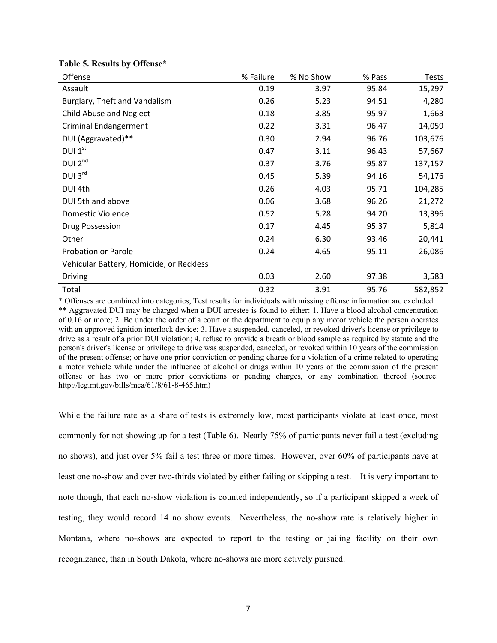| Offense                                  | % Failure | % No Show | % Pass | <b>Tests</b> |
|------------------------------------------|-----------|-----------|--------|--------------|
| Assault                                  | 0.19      | 3.97      | 95.84  | 15,297       |
| Burglary, Theft and Vandalism            | 0.26      | 5.23      | 94.51  | 4,280        |
| Child Abuse and Neglect                  | 0.18      | 3.85      | 95.97  | 1,663        |
| <b>Criminal Endangerment</b>             | 0.22      | 3.31      | 96.47  | 14,059       |
| DUI (Aggravated)**                       | 0.30      | 2.94      | 96.76  | 103,676      |
| DUI $1st$                                | 0.47      | 3.11      | 96.43  | 57,667       |
| DUI <sub>2<sup>nd</sup></sub>            | 0.37      | 3.76      | 95.87  | 137,157      |
| DUI 3rd                                  | 0.45      | 5.39      | 94.16  | 54,176       |
| DUI 4th                                  | 0.26      | 4.03      | 95.71  | 104,285      |
| DUI 5th and above                        | 0.06      | 3.68      | 96.26  | 21,272       |
| <b>Domestic Violence</b>                 | 0.52      | 5.28      | 94.20  | 13,396       |
| Drug Possession                          | 0.17      | 4.45      | 95.37  | 5,814        |
| Other                                    | 0.24      | 6.30      | 93.46  | 20,441       |
| <b>Probation or Parole</b>               | 0.24      | 4.65      | 95.11  | 26,086       |
| Vehicular Battery, Homicide, or Reckless |           |           |        |              |
| <b>Driving</b>                           | 0.03      | 2.60      | 97.38  | 3,583        |
| Total                                    | 0.32      | 3.91      | 95.76  | 582,852      |

# **Table 5. Results by Offense\***

\* Offenses are combined into categories; Test results for individuals with missing offense information are excluded. \*\* Aggravated DUI may be charged when a DUI arrestee is found to either: 1. Have a blood alcohol concentration of 0.16 or more; 2. Be under the order of a court or the department to equip any motor vehicle the person operates with an approved ignition interlock device; 3. Have a suspended, canceled, or revoked driver's license or privilege to drive as a result of a prior DUI violation; 4. refuse to provide a breath or blood sample as required by statute and the person's driver's license or privilege to drive was suspended, canceled, or revoked within 10 years of the commission of the present offense; or have one prior conviction or pending charge for a violation of a crime related to operating a motor vehicle while under the influence of alcohol or drugs within 10 years of the commission of the present offense or has two or more prior convictions or pending charges, or any combination thereof (source: [http://leg.mt.gov/bills/mca/61/8/61-8-465.htm\)](http://leg.mt.gov/bills/mca/61/8/61-8-465.htm)

While the failure rate as a share of tests is extremely low, most participants violate at least once, most commonly for not showing up for a test (Table 6). Nearly 75% of participants never fail a test (excluding no shows), and just over 5% fail a test three or more times. However, over 60% of participants have at least one no-show and over two-thirds violated by either failing or skipping a test. It is very important to note though, that each no-show violation is counted independently, so if a participant skipped a week of testing, they would record 14 no show events. Nevertheless, the no-show rate is relatively higher in Montana, where no-shows are expected to report to the testing or jailing facility on their own recognizance, than in South Dakota, where no-shows are more actively pursued.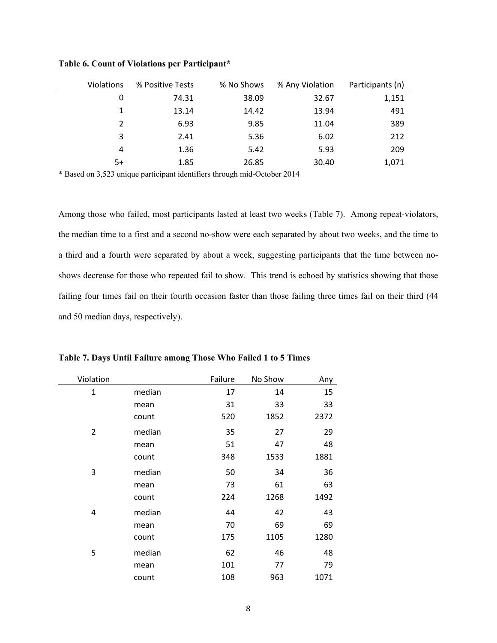| <b>Violations</b> | % Positive Tests | % No Shows | % Any Violation | Participants (n) |
|-------------------|------------------|------------|-----------------|------------------|
| 0                 | 74.31            | 38.09      | 32.67           | 1,151            |
| 1                 | 13.14            | 14.42      | 13.94           | 491              |
| 2                 | 6.93             | 9.85       | 11.04           | 389              |
| 3                 | 2.41             | 5.36       | 6.02            | 212              |
| 4                 | 1.36             | 5.42       | 5.93            | 209              |
| 5+                | 1.85             | 26.85      | 30.40           | 1,071            |

**Table 6. Count of Violations per Participant\*** 

\* Based on 3,523 unique participant identifiers through mid-October 2014

Among those who failed, most participants lasted at least two weeks (Table 7). Among repeat-violators, the median time to a first and a second no-show were each separated by about two weeks, and the time to a third and a fourth were separated by about a week, suggesting participants that the time between noshows decrease for those who repeated fail to show. This trend is echoed by statistics showing that those failing four times fail on their fourth occasion faster than those failing three times fail on their third (44 and 50 median days, respectively).

| Violation      |        | Failure | No Show | Any  |
|----------------|--------|---------|---------|------|
| $\mathbf{1}$   | median | 17      | 14      | 15   |
|                | mean   | 31      | 33      | 33   |
|                | count  | 520     | 1852    | 2372 |
| $\overline{2}$ | median | 35      | 27      | 29   |
|                | mean   | 51      | 47      | 48   |
|                | count  | 348     | 1533    | 1881 |
| 3              | median | 50      | 34      | 36   |
|                | mean   | 73      | 61      | 63   |
|                | count  | 224     | 1268    | 1492 |
| 4              | median | 44      | 42      | 43   |
|                | mean   | 70      | 69      | 69   |
|                | count  | 175     | 1105    | 1280 |
| 5              | median | 62      | 46      | 48   |
|                | mean   | 101     | 77      | 79   |
|                | count  | 108     | 963     | 1071 |

**Table 7. Days Until Failure among Those Who Failed 1 to 5 Times**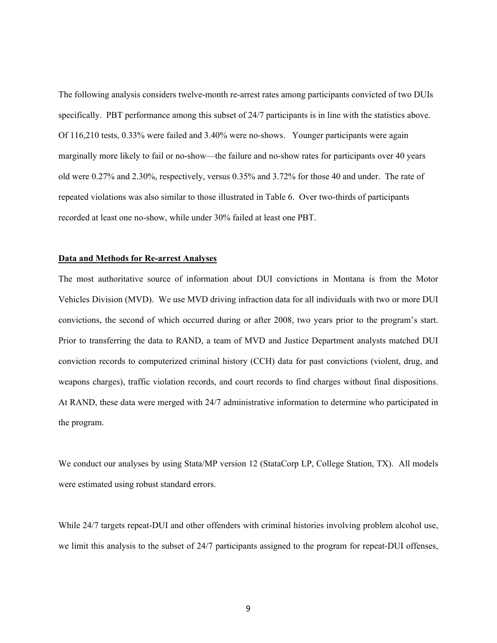The following analysis considers twelve-month re-arrest rates among participants convicted of two DUIs specifically. PBT performance among this subset of 24/7 participants is in line with the statistics above. Of 116,210 tests, 0.33% were failed and 3.40% were no-shows. Younger participants were again marginally more likely to fail or no-show—the failure and no-show rates for participants over 40 years old were 0.27% and 2.30%, respectively, versus 0.35% and 3.72% for those 40 and under. The rate of repeated violations was also similar to those illustrated in Table 6. Over two-thirds of participants recorded at least one no-show, while under 30% failed at least one PBT.

#### **Data and Methods for Re-arrest Analyses**

The most authoritative source of information about DUI convictions in Montana is from the Motor Vehicles Division (MVD). We use MVD driving infraction data for all individuals with two or more DUI convictions, the second of which occurred during or after 2008, two years prior to the program's start. Prior to transferring the data to RAND, a team of MVD and Justice Department analysts matched DUI conviction records to computerized criminal history (CCH) data for past convictions (violent, drug, and weapons charges), traffic violation records, and court records to find charges without final dispositions. At RAND, these data were merged with 24/7 administrative information to determine who participated in the program.

We conduct our analyses by using Stata/MP version 12 (StataCorp LP, College Station, TX). All models were estimated using robust standard errors.

While 24/7 targets repeat-DUI and other offenders with criminal histories involving problem alcohol use, we limit this analysis to the subset of 24/7 participants assigned to the program for repeat-DUI offenses,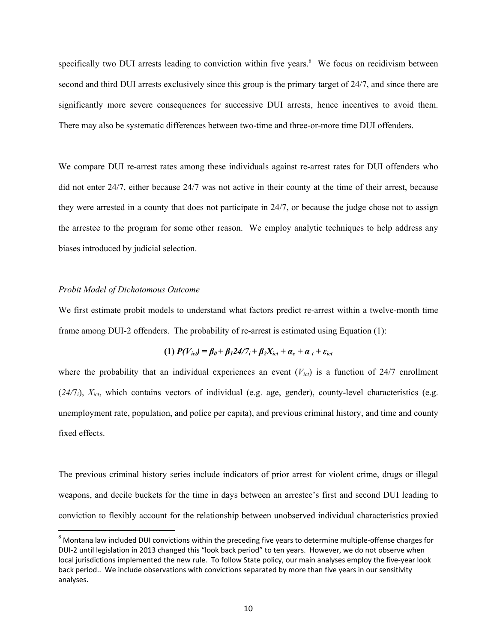specifically two DUI arrests leading to conviction within five years. $8$  We focus on recidivism between second and third DUI arrests exclusively since this group is the primary target of 24/7, and since there are significantly more severe consequences for successive DUI arrests, hence incentives to avoid them. There may also be systematic differences between two-time and three-or-more time DUI offenders.

We compare DUI re-arrest rates among these individuals against re-arrest rates for DUI offenders who did not enter 24/7, either because 24/7 was not active in their county at the time of their arrest, because they were arrested in a county that does not participate in 24/7, or because the judge chose not to assign the arrestee to the program for some other reason. We employ analytic techniques to help address any biases introduced by judicial selection.

# *Probit Model of Dichotomous Outcome*

We first estimate probit models to understand what factors predict re-arrest within a twelve-month time frame among DUI-2 offenders. The probability of re-arrest is estimated using Equation (1):

(1) 
$$
P(V_{ict}) = \beta_0 + \beta_1 24/7_i + \beta_2 X_{ict} + \alpha_c + \alpha_t + \varepsilon_{ict}
$$

where the probability that an individual experiences an event  $(V_{i c t})$  is a function of 24/7 enrollment (24/7<sub>i</sub>),  $X_{ict}$ , which contains vectors of individual (e.g. age, gender), county-level characteristics (e.g. unemployment rate, population, and police per capita), and previous criminal history, and time and county fixed effects.

The previous criminal history series include indicators of prior arrest for violent crime, drugs or illegal weapons, and decile buckets for the time in days between an arrestee's first and second DUI leading to conviction to flexibly account for the relationship between unobserved individual characteristics proxied

<sup>8</sup> Montana law included DUI convictions within the preceding five years to determine multiple-offense charges for DUI-2 until legislation in 2013 changed this "look back period" to ten years. However, we do not observe when local jurisdictions implemented the new rule. To follow State policy, our main analyses employ the five‐year look back period.. We include observations with convictions separated by more than five years in our sensitivity analyses.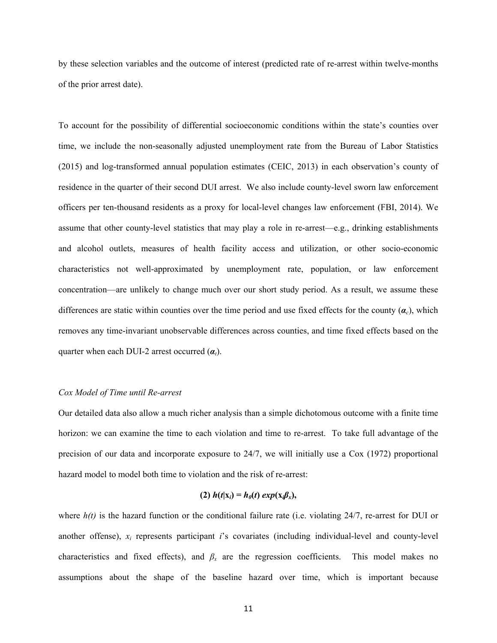by these selection variables and the outcome of interest (predicted rate of re-arrest within twelve-months of the prior arrest date).

To account for the possibility of differential socioeconomic conditions within the state's counties over time, we include the non-seasonally adjusted unemployment rate from the Bureau of Labor Statistics (2015) and log-transformed annual population estimates (CEIC, 2013) in each observation's county of residence in the quarter of their second DUI arrest. We also include county-level sworn law enforcement officers per ten-thousand residents as a proxy for local-level changes law enforcement (FBI, 2014). We assume that other county-level statistics that may play a role in re-arrest—e.g., drinking establishments and alcohol outlets, measures of health facility access and utilization, or other socio-economic characteristics not well-approximated by unemployment rate, population, or law enforcement concentration—are unlikely to change much over our short study period. As a result, we assume these differences are static within counties over the time period and use fixed effects for the county  $(a<sub>c</sub>)$ , which removes any time-invariant unobservable differences across counties, and time fixed effects based on the quarter when each DUI-2 arrest occurred  $(\alpha_t)$ .

#### *Cox Model of Time until Re-arrest*

Our detailed data also allow a much richer analysis than a simple dichotomous outcome with a finite time horizon: we can examine the time to each violation and time to re-arrest. To take full advantage of the precision of our data and incorporate exposure to 24/7, we will initially use a Cox (1972) proportional hazard model to model both time to violation and the risk of re-arrest:

# $(2)$   $h(t|\mathbf{x}_i) = h_0(t) \exp(\mathbf{x}_i \beta_x),$

where  $h(t)$  is the hazard function or the conditional failure rate (i.e. violating  $24/7$ , re-arrest for DUI or another offense), *xi* represents participant *i*'s covariates (including individual-level and county-level characteristics and fixed effects), and  $\beta_x$  are the regression coefficients. This model makes no assumptions about the shape of the baseline hazard over time, which is important because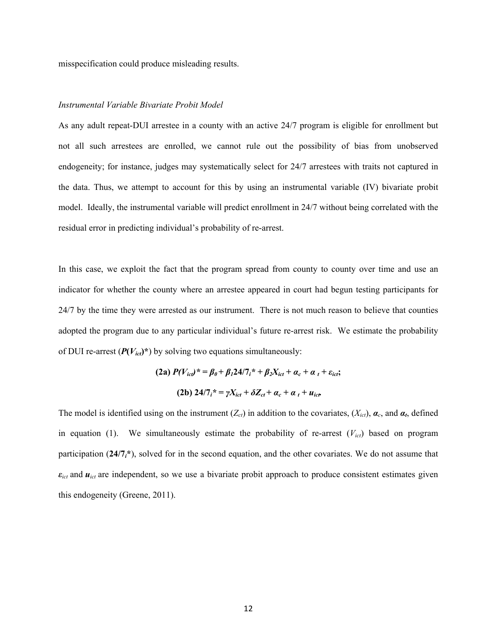misspecification could produce misleading results.

#### *Instrumental Variable Bivariate Probit Model*

As any adult repeat-DUI arrestee in a county with an active 24/7 program is eligible for enrollment but not all such arrestees are enrolled, we cannot rule out the possibility of bias from unobserved endogeneity; for instance, judges may systematically select for 24/7 arrestees with traits not captured in the data. Thus, we attempt to account for this by using an instrumental variable (IV) bivariate probit model. Ideally, the instrumental variable will predict enrollment in 24/7 without being correlated with the residual error in predicting individual's probability of re-arrest.

In this case, we exploit the fact that the program spread from county to county over time and use an indicator for whether the county where an arrestee appeared in court had begun testing participants for 24/7 by the time they were arrested as our instrument. There is not much reason to believe that counties adopted the program due to any particular individual's future re-arrest risk. We estimate the probability of DUI re-arrest  $(P(V_{ict})^*)$  by solving two equations simultaneously:

(2a) 
$$
P(V_{icl})^* = \beta_0 + \beta_1 24/7_i^* + \beta_2 X_{ict} + \alpha_c + \alpha_t + \varepsilon_{ict};
$$
  
(2b)  $24/7_i^* = \gamma X_{ict} + \delta Z_{ct} + \alpha_c + \alpha_t + u_{ict}$ 

The model is identified using on the instrument  $(Z_{ct})$  in addition to the covariates,  $(X_{ict})$ ,  $\alpha_c$ , and  $\alpha_t$ , defined in equation (1). We simultaneously estimate the probability of re-arrest (*Vict*) based on program participation (**24/7***i***\***), solved for in the second equation, and the other covariates. We do not assume that *εict* and *uict* are independent, so we use a bivariate probit approach to produce consistent estimates given this endogeneity (Greene, 2011).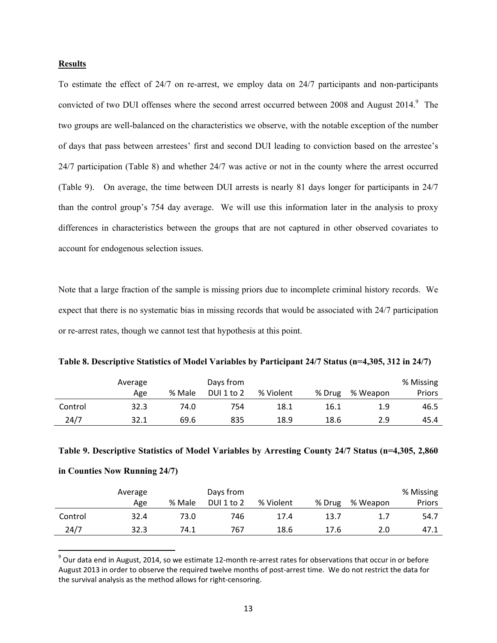# **Results**

To estimate the effect of 24/7 on re-arrest, we employ data on 24/7 participants and non-participants convicted of two DUI offenses where the second arrest occurred between 2008 and August 2014.<sup>9</sup> The two groups are well-balanced on the characteristics we observe, with the notable exception of the number of days that pass between arrestees' first and second DUI leading to conviction based on the arrestee's 24/7 participation (Table 8) and whether 24/7 was active or not in the county where the arrest occurred (Table 9). On average, the time between DUI arrests is nearly 81 days longer for participants in 24/7 than the control group's 754 day average. We will use this information later in the analysis to proxy differences in characteristics between the groups that are not captured in other observed covariates to account for endogenous selection issues.

Note that a large fraction of the sample is missing priors due to incomplete criminal history records. We expect that there is no systematic bias in missing records that would be associated with 24/7 participation or re-arrest rates, though we cannot test that hypothesis at this point.

**Table 8. Descriptive Statistics of Model Variables by Participant 24/7 Status (n=4,305, 312 in 24/7)** 

|         | Average |        | Days from  |           |        |          | % Missing |
|---------|---------|--------|------------|-----------|--------|----------|-----------|
|         | Age     | % Male | DUI 1 to 2 | % Violent | % Drug | % Weapon | Priors    |
| Control | 32.3    | 74.0   | 754        | 18.1      | 16.1   | 1.9      | 46.5      |
| 24/7    | 32.1    | 69.6   | 835        | 18.9      | 18.6   | 2.9      | 45.4      |

|  | Table 9. Descriptive Statistics of Model Variables by Arresting County 24/7 Status (n=4,305, 2,860 |  |  |  |
|--|----------------------------------------------------------------------------------------------------|--|--|--|
|  |                                                                                                    |  |  |  |

#### **in Counties Now Running 24/7)**

|         | Average |        | Days from  |           |        |          | % Missing |
|---------|---------|--------|------------|-----------|--------|----------|-----------|
|         | Age     | % Male | DUI 1 to 2 | % Violent | % Drug | % Weapon | Priors    |
| Control | 32.4    | 73.0   | 746        | 17.4      | 13.7   | 1.7      | 54.7      |
| 24/7    | 32.3    | 74.1   | 767        | 18.6      | 17.6   | 2.0      | 47.1      |

<sup>&</sup>lt;sup>9</sup> Our data end in August, 2014, so we estimate 12-month re-arrest rates for observations that occur in or before August 2013 in order to observe the required twelve months of post‐arrest time. We do not restrict the data for the survival analysis as the method allows for right‐censoring.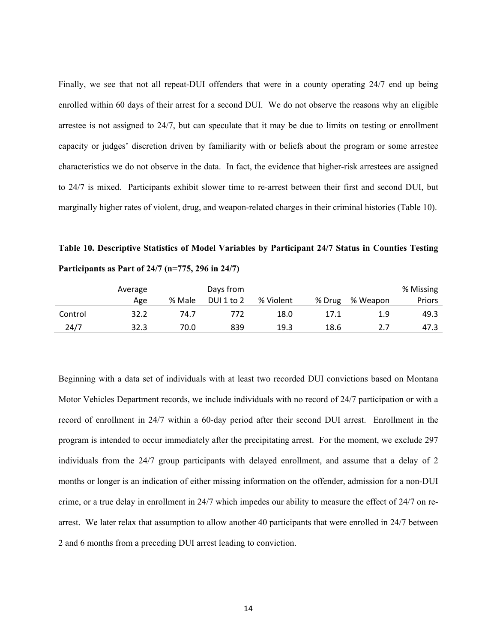Finally, we see that not all repeat-DUI offenders that were in a county operating 24/7 end up being enrolled within 60 days of their arrest for a second DUI. We do not observe the reasons why an eligible arrestee is not assigned to 24/7, but can speculate that it may be due to limits on testing or enrollment capacity or judges' discretion driven by familiarity with or beliefs about the program or some arrestee characteristics we do not observe in the data. In fact, the evidence that higher-risk arrestees are assigned to 24/7 is mixed. Participants exhibit slower time to re-arrest between their first and second DUI, but marginally higher rates of violent, drug, and weapon-related charges in their criminal histories (Table 10).

**Table 10. Descriptive Statistics of Model Variables by Participant 24/7 Status in Counties Testing Participants as Part of 24/7 (n=775, 296 in 24/7)** 

|         | Average |        | Days from  |           |        |          | % Missing |
|---------|---------|--------|------------|-----------|--------|----------|-----------|
|         | Age     | % Male | DUI 1 to 2 | % Violent | % Drug | % Weapon | Priors    |
| Control | 32.2    | 74.7   | 772        | 18.0      | 17.1   | 1.9      | 49.3      |
| 24/7    | 32.3    | 70.0   | 839        | 19.3      | 18.6   | 2.7      | 47.3      |

Beginning with a data set of individuals with at least two recorded DUI convictions based on Montana Motor Vehicles Department records, we include individuals with no record of 24/7 participation or with a record of enrollment in 24/7 within a 60-day period after their second DUI arrest. Enrollment in the program is intended to occur immediately after the precipitating arrest. For the moment, we exclude 297 individuals from the 24/7 group participants with delayed enrollment, and assume that a delay of 2 months or longer is an indication of either missing information on the offender, admission for a non-DUI crime, or a true delay in enrollment in 24/7 which impedes our ability to measure the effect of 24/7 on rearrest. We later relax that assumption to allow another 40 participants that were enrolled in 24/7 between 2 and 6 months from a preceding DUI arrest leading to conviction.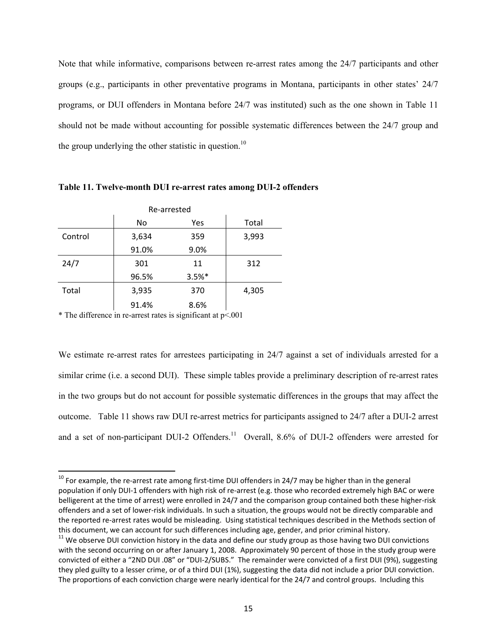Note that while informative, comparisons between re-arrest rates among the 24/7 participants and other groups (e.g., participants in other preventative programs in Montana, participants in other states' 24/7 programs, or DUI offenders in Montana before 24/7 was instituted) such as the one shown in Table 11 should not be made without accounting for possible systematic differences between the 24/7 group and the group underlying the other statistic in question.<sup>10</sup>

| Re-arrested |       |          |       |  |  |  |  |
|-------------|-------|----------|-------|--|--|--|--|
|             | No    | Yes      | Total |  |  |  |  |
| Control     | 3,634 | 359      | 3,993 |  |  |  |  |
|             | 91.0% | 9.0%     |       |  |  |  |  |
| 24/7        | 301   | 11       | 312   |  |  |  |  |
|             | 96.5% | $3.5%$ * |       |  |  |  |  |
| Total       | 3,935 | 370      | 4,305 |  |  |  |  |
|             | 91.4% | 8.6%     |       |  |  |  |  |

**Table 11. Twelve-month DUI re-arrest rates among DUI-2 offenders** 

\* The difference in re-arrest rates is significant at p<.001

We estimate re-arrest rates for arrestees participating in 24/7 against a set of individuals arrested for a similar crime (i.e. a second DUI). These simple tables provide a preliminary description of re-arrest rates in the two groups but do not account for possible systematic differences in the groups that may affect the outcome. Table 11 shows raw DUI re-arrest metrics for participants assigned to 24/7 after a DUI-2 arrest and a set of non-participant DUI-2 Offenders.<sup>11</sup> Overall, 8.6% of DUI-2 offenders were arrested for

 $^{10}$  For example, the re-arrest rate among first-time DUI offenders in 24/7 may be higher than in the general population if only DUI-1 offenders with high risk of re-arrest (e.g. those who recorded extremely high BAC or were belligerent at the time of arrest) were enrolled in 24/7 and the comparison group contained both these higher-risk offenders and a set of lower‐risk individuals. In such a situation, the groups would not be directly comparable and the reported re-arrest rates would be misleading. Using statistical techniques described in the Methods section of this document, we can account for such differences including age, gender, and prior criminal history.<br><sup>11</sup> We observe DUI conviction history in the data and define our study group as those having two DUI convictions

with the second occurring on or after January 1, 2008. Approximately 90 percent of those in the study group were convicted of either a "2ND DUI .08" or "DUI‐2/SUBS." The remainder were convicted of a first DUI (9%), suggesting they pled guilty to a lesser crime, or of a third DUI (1%), suggesting the data did not include a prior DUI conviction. The proportions of each conviction charge were nearly identical for the 24/7 and control groups. Including this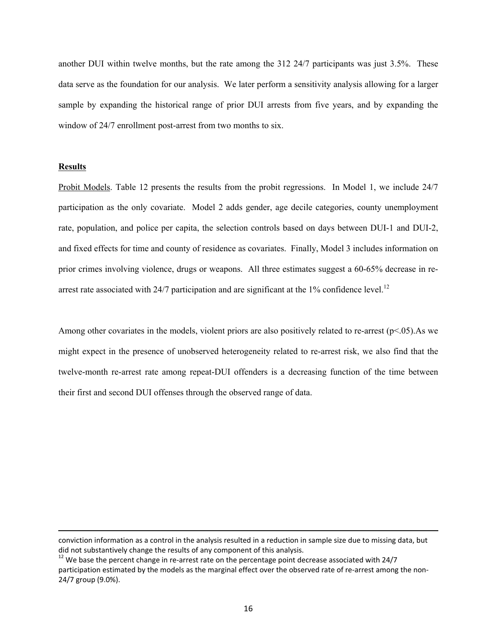another DUI within twelve months, but the rate among the 312 24/7 participants was just 3.5%. These data serve as the foundation for our analysis. We later perform a sensitivity analysis allowing for a larger sample by expanding the historical range of prior DUI arrests from five years, and by expanding the window of 24/7 enrollment post-arrest from two months to six.

# **Results**

Probit Models. Table 12 presents the results from the probit regressions. In Model 1, we include 24/7 participation as the only covariate. Model 2 adds gender, age decile categories, county unemployment rate, population, and police per capita, the selection controls based on days between DUI-1 and DUI-2, and fixed effects for time and county of residence as covariates. Finally, Model 3 includes information on prior crimes involving violence, drugs or weapons. All three estimates suggest a 60-65% decrease in rearrest rate associated with  $24/7$  participation and are significant at the 1% confidence level.<sup>12</sup>

Among other covariates in the models, violent priors are also positively related to re-arrest (p<.05).As we might expect in the presence of unobserved heterogeneity related to re-arrest risk, we also find that the twelve-month re-arrest rate among repeat-DUI offenders is a decreasing function of the time between their first and second DUI offenses through the observed range of data.

<u> 1989 - Johann Stein, marwolaethau a gweledydd a ganlad y ganlad y ganlad y ganlad y ganlad y ganlad y ganlad</u>

conviction information as a control in the analysis resulted in a reduction in sample size due to missing data, but did not substantively change the results of any component of this analysis.<br><sup>12</sup> We base the percent change in re-arrest rate on the percentage point decrease associated with 24/7

participation estimated by the models as the marginal effect over the observed rate of re-arrest among the non-24/7 group (9.0%).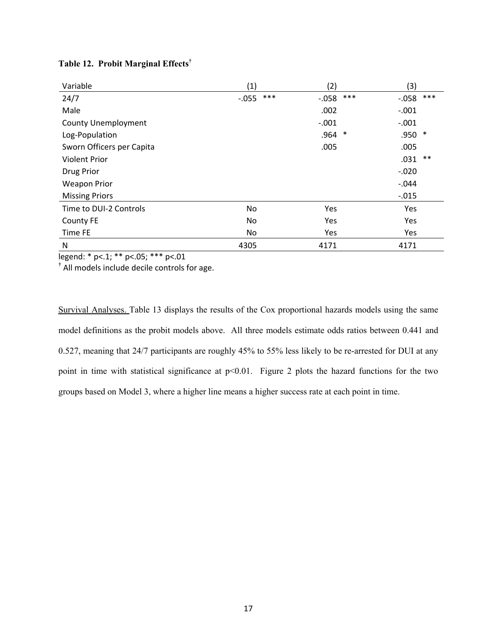| Variable                   | (1)     |     | (2)      |     | (3)        |       |
|----------------------------|---------|-----|----------|-----|------------|-------|
| 24/7                       | $-.055$ | *** | $-0.058$ | *** | $-0.058$   | $***$ |
| Male                       |         |     | .002     |     | $-.001$    |       |
| <b>County Unemployment</b> |         |     | $-.001$  |     | $-.001$    |       |
| Log-Population             |         |     | .964     | ∗   | .950 *     |       |
| Sworn Officers per Capita  |         |     | .005     |     | .005       |       |
| <b>Violent Prior</b>       |         |     |          |     | .031       | $***$ |
| Drug Prior                 |         |     |          |     | $-.020$    |       |
| <b>Weapon Prior</b>        |         |     |          |     | $-.044$    |       |
| <b>Missing Priors</b>      |         |     |          |     | $-0.015$   |       |
| Time to DUI-2 Controls     | No.     |     | Yes      |     | <b>Yes</b> |       |
| <b>County FE</b>           | No      |     | Yes      |     | Yes        |       |
| Time FE                    | No      |     | Yes      |     | Yes        |       |
| N                          | 4305    |     | 4171     |     | 4171       |       |

# **Table 12. Probit Marginal Effects†**

legend: \* p<.1; \*\* p<.05; \*\*\* p<.01

**†** All models include decile controls for age.

Survival Analyses. Table 13 displays the results of the Cox proportional hazards models using the same model definitions as the probit models above. All three models estimate odds ratios between 0.441 and 0.527, meaning that 24/7 participants are roughly 45% to 55% less likely to be re-arrested for DUI at any point in time with statistical significance at  $p<0.01$ . Figure 2 plots the hazard functions for the two groups based on Model 3, where a higher line means a higher success rate at each point in time.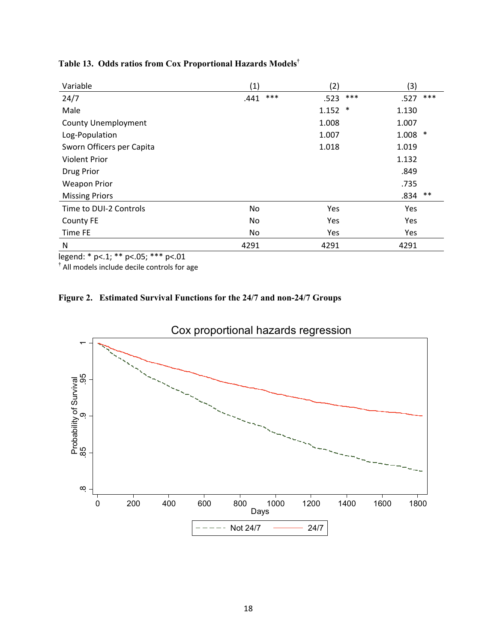| Variable                   | (1)  |     | (2)   |        | (3)   |       |
|----------------------------|------|-----|-------|--------|-------|-------|
| 24/7                       | .441 | *** | .523  | ***    | .527  | ***   |
| Male                       |      |     | 1.152 | $\ast$ | 1.130 |       |
| <b>County Unemployment</b> |      |     | 1.008 |        | 1.007 |       |
| Log-Population             |      |     | 1.007 |        | 1.008 | ∗     |
| Sworn Officers per Capita  |      |     | 1.018 |        | 1.019 |       |
| <b>Violent Prior</b>       |      |     |       |        | 1.132 |       |
| Drug Prior                 |      |     |       |        | .849  |       |
| <b>Weapon Prior</b>        |      |     |       |        | .735  |       |
| <b>Missing Priors</b>      |      |     |       |        | .834  | $***$ |
| Time to DUI-2 Controls     | No   |     | Yes   |        | Yes   |       |
| <b>County FE</b>           | No   |     | Yes   |        | Yes   |       |
| Time FE                    | No   |     | Yes   |        | Yes   |       |
| N                          | 4291 |     | 4291  |        | 4291  |       |

**Table 13. Odds ratios from Cox Proportional Hazards Models†**

legend: \* p<.1; \*\* p<.05; \*\*\* p<.01

**†** All models include decile controls for age

# **Figure 2. Estimated Survival Functions for the 24/7 and non-24/7 Groups**

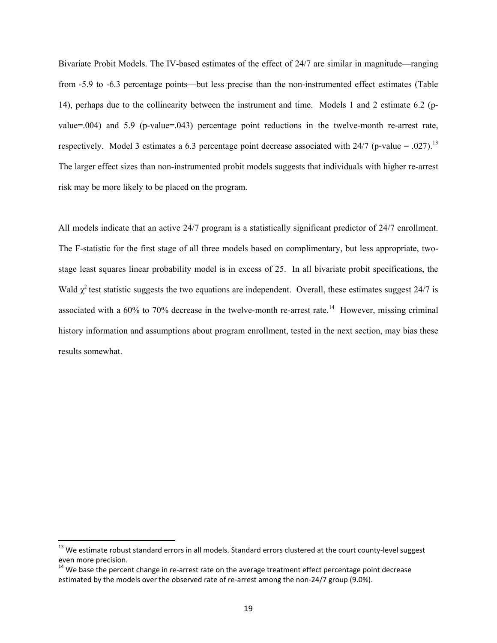Bivariate Probit Models. The IV-based estimates of the effect of 24/7 are similar in magnitude—ranging from -5.9 to -6.3 percentage points—but less precise than the non-instrumented effect estimates (Table 14), perhaps due to the collinearity between the instrument and time. Models 1 and 2 estimate 6.2 (pvalue=.004) and 5.9 (p-value=.043) percentage point reductions in the twelve-month re-arrest rate, respectively. Model 3 estimates a 6.3 percentage point decrease associated with  $24/7$  (p-value = .027).<sup>13</sup> The larger effect sizes than non-instrumented probit models suggests that individuals with higher re-arrest risk may be more likely to be placed on the program.

All models indicate that an active 24/7 program is a statistically significant predictor of 24/7 enrollment. The F-statistic for the first stage of all three models based on complimentary, but less appropriate, twostage least squares linear probability model is in excess of 25. In all bivariate probit specifications, the Wald  $\chi^2$  test statistic suggests the two equations are independent. Overall, these estimates suggest 24/7 is associated with a  $60\%$  to 70% decrease in the twelve-month re-arrest rate.<sup>14</sup> However, missing criminal history information and assumptions about program enrollment, tested in the next section, may bias these results somewhat.

 $^{13}$  We estimate robust standard errors in all models. Standard errors clustered at the court county-level suggest even more precision.<br><sup>14</sup> We base the percent change in re-arrest rate on the average treatment effect percentage point decrease

estimated by the models over the observed rate of re-arrest among the non-24/7 group (9.0%).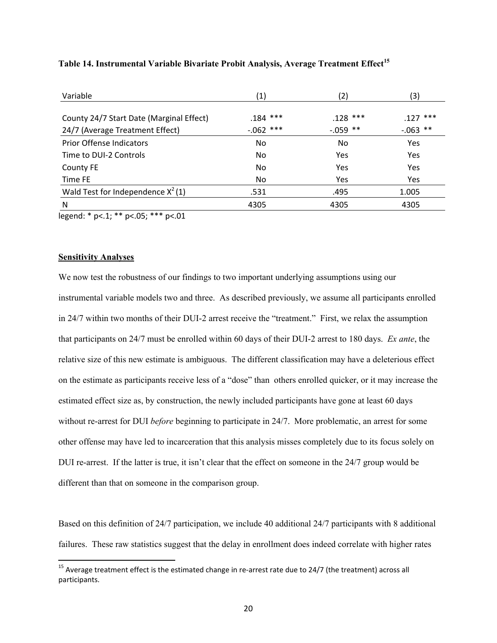| Variable                                 | (1)         | (2)        | (3)         |
|------------------------------------------|-------------|------------|-------------|
|                                          |             |            |             |
| County 24/7 Start Date (Marginal Effect) | $.184$ ***  | $.128$ *** | $.127$ ***  |
| 24/7 (Average Treatment Effect)          | $-.062$ *** | $-.059$ ** | $-0.063$ ** |
| Prior Offense Indicators                 | No.         | No         | Yes         |
| Time to DUI-2 Controls                   | No          | Yes        | Yes         |
| County FE                                | No.         | Yes        | Yes         |
| Time FE                                  | No.         | Yes        | <b>Yes</b>  |
| Wald Test for Independence $X^2(1)$      | .531        | .495       | 1.005       |
| N                                        | 4305        | 4305       | 4305        |
|                                          |             |            |             |

# **Table 14. Instrumental Variable Bivariate Probit Analysis, Average Treatment Effect15**

legend: \* p<.1; \*\* p<.05; \*\*\* p<.01

# **Sensitivity Analyses**

We now test the robustness of our findings to two important underlying assumptions using our instrumental variable models two and three. As described previously, we assume all participants enrolled in 24/7 within two months of their DUI-2 arrest receive the "treatment." First, we relax the assumption that participants on 24/7 must be enrolled within 60 days of their DUI-2 arrest to 180 days. *Ex ante*, the relative size of this new estimate is ambiguous. The different classification may have a deleterious effect on the estimate as participants receive less of a "dose" than others enrolled quicker, or it may increase the estimated effect size as, by construction, the newly included participants have gone at least 60 days without re-arrest for DUI *before* beginning to participate in 24/7. More problematic, an arrest for some other offense may have led to incarceration that this analysis misses completely due to its focus solely on DUI re-arrest. If the latter is true, it isn't clear that the effect on someone in the 24/7 group would be different than that on someone in the comparison group.

Based on this definition of 24/7 participation, we include 40 additional 24/7 participants with 8 additional failures. These raw statistics suggest that the delay in enrollment does indeed correlate with higher rates

<sup>&</sup>lt;sup>15</sup> Average treatment effect is the estimated change in re-arrest rate due to 24/7 (the treatment) across all participants.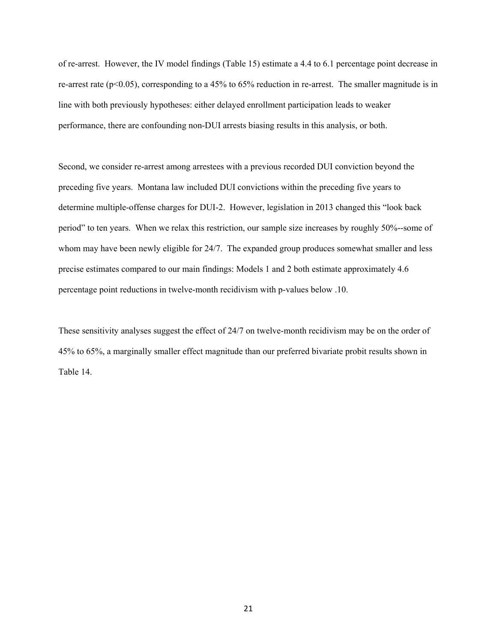of re-arrest. However, the IV model findings (Table 15) estimate a 4.4 to 6.1 percentage point decrease in re-arrest rate ( $p$ <0.05), corresponding to a 45% to 65% reduction in re-arrest. The smaller magnitude is in line with both previously hypotheses: either delayed enrollment participation leads to weaker performance, there are confounding non-DUI arrests biasing results in this analysis, or both.

Second, we consider re-arrest among arrestees with a previous recorded DUI conviction beyond the preceding five years. Montana law included DUI convictions within the preceding five years to determine multiple-offense charges for DUI-2. However, legislation in 2013 changed this "look back period" to ten years. When we relax this restriction, our sample size increases by roughly 50%--some of whom may have been newly eligible for 24/7. The expanded group produces somewhat smaller and less precise estimates compared to our main findings: Models 1 and 2 both estimate approximately 4.6 percentage point reductions in twelve-month recidivism with p-values below .10.

These sensitivity analyses suggest the effect of 24/7 on twelve-month recidivism may be on the order of 45% to 65%, a marginally smaller effect magnitude than our preferred bivariate probit results shown in Table 14.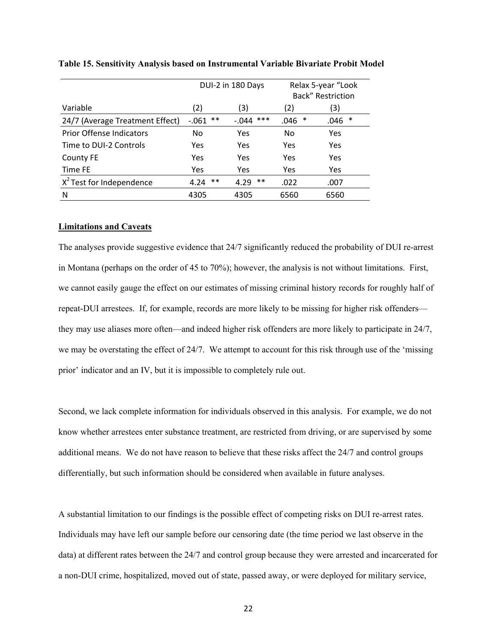|                                 | DUI-2 in 180 Days |               | Relax 5-year "Look<br>Back" Restriction |           |  |
|---------------------------------|-------------------|---------------|-----------------------------------------|-----------|--|
| Variable                        | (2)               | (3)           | (2)                                     | (3)       |  |
| 24/7 (Average Treatment Effect) | $***$<br>$-061$   | ***<br>-.044  | .046<br>∗                               | .046<br>∗ |  |
| <b>Prior Offense Indicators</b> | No                | Yes           | No                                      | Yes       |  |
| Time to DUI-2 Controls          | Yes               | Yes           | Yes                                     | Yes       |  |
| County FE                       | Yes               | Yes           | Yes                                     | Yes       |  |
| Time FE                         | Yes               | Yes           | Yes                                     | Yes       |  |
| $X^2$ Test for Independence     | $***$<br>4.24     | $***$<br>4.29 | .022                                    | .007      |  |
| N                               | 4305              | 4305          | 6560                                    | 6560      |  |

**Table 15. Sensitivity Analysis based on Instrumental Variable Bivariate Probit Model** 

#### **Limitations and Caveats**

The analyses provide suggestive evidence that 24/7 significantly reduced the probability of DUI re-arrest in Montana (perhaps on the order of 45 to 70%); however, the analysis is not without limitations. First, we cannot easily gauge the effect on our estimates of missing criminal history records for roughly half of repeat-DUI arrestees. If, for example, records are more likely to be missing for higher risk offenders they may use aliases more often—and indeed higher risk offenders are more likely to participate in 24/7, we may be overstating the effect of 24/7. We attempt to account for this risk through use of the 'missing prior' indicator and an IV, but it is impossible to completely rule out.

Second, we lack complete information for individuals observed in this analysis. For example, we do not know whether arrestees enter substance treatment, are restricted from driving, or are supervised by some additional means. We do not have reason to believe that these risks affect the 24/7 and control groups differentially, but such information should be considered when available in future analyses.

A substantial limitation to our findings is the possible effect of competing risks on DUI re-arrest rates. Individuals may have left our sample before our censoring date (the time period we last observe in the data) at different rates between the 24/7 and control group because they were arrested and incarcerated for a non-DUI crime, hospitalized, moved out of state, passed away, or were deployed for military service,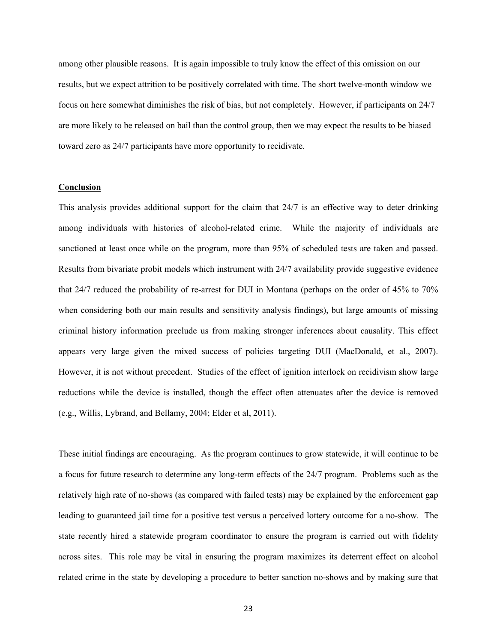among other plausible reasons. It is again impossible to truly know the effect of this omission on our results, but we expect attrition to be positively correlated with time. The short twelve-month window we focus on here somewhat diminishes the risk of bias, but not completely. However, if participants on 24/7 are more likely to be released on bail than the control group, then we may expect the results to be biased toward zero as 24/7 participants have more opportunity to recidivate.

# **Conclusion**

This analysis provides additional support for the claim that 24/7 is an effective way to deter drinking among individuals with histories of alcohol-related crime. While the majority of individuals are sanctioned at least once while on the program, more than 95% of scheduled tests are taken and passed. Results from bivariate probit models which instrument with 24/7 availability provide suggestive evidence that 24/7 reduced the probability of re-arrest for DUI in Montana (perhaps on the order of 45% to 70% when considering both our main results and sensitivity analysis findings), but large amounts of missing criminal history information preclude us from making stronger inferences about causality. This effect appears very large given the mixed success of policies targeting DUI (MacDonald, et al., 2007). However, it is not without precedent. Studies of the effect of ignition interlock on recidivism show large reductions while the device is installed, though the effect often attenuates after the device is removed (e.g., Willis, Lybrand, and Bellamy, 2004; Elder et al, 2011).

These initial findings are encouraging. As the program continues to grow statewide, it will continue to be a focus for future research to determine any long-term effects of the 24/7 program. Problems such as the relatively high rate of no-shows (as compared with failed tests) may be explained by the enforcement gap leading to guaranteed jail time for a positive test versus a perceived lottery outcome for a no-show. The state recently hired a statewide program coordinator to ensure the program is carried out with fidelity across sites. This role may be vital in ensuring the program maximizes its deterrent effect on alcohol related crime in the state by developing a procedure to better sanction no-shows and by making sure that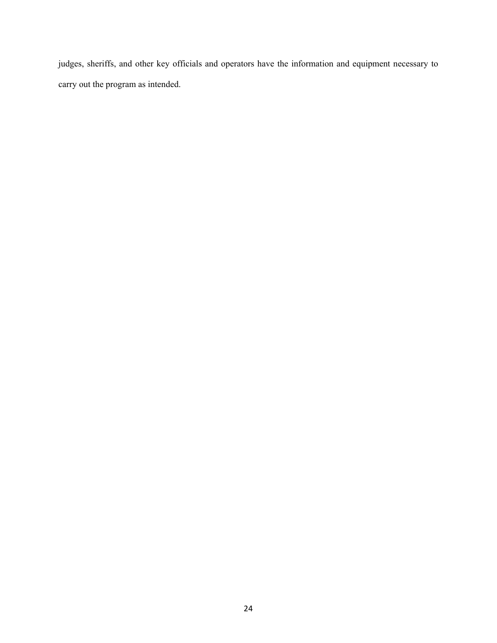judges, sheriffs, and other key officials and operators have the information and equipment necessary to carry out the program as intended.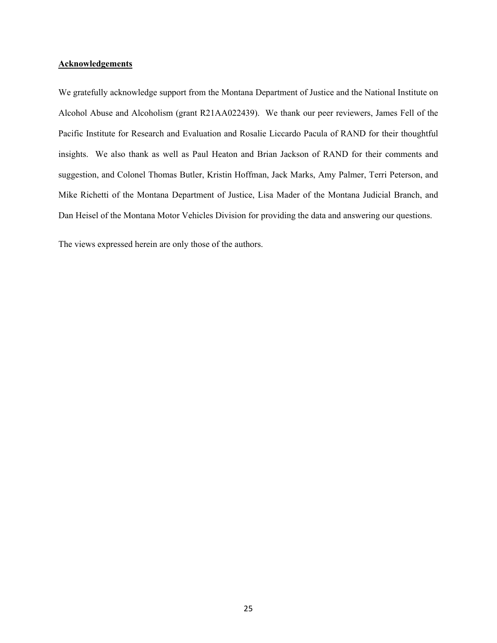# **Acknowledgements**

We gratefully acknowledge support from the Montana Department of Justice and the National Institute on Alcohol Abuse and Alcoholism (grant R21AA022439). We thank our peer reviewers, James Fell of the Pacific Institute for Research and Evaluation and Rosalie Liccardo Pacula of RAND for their thoughtful insights. We also thank as well as Paul Heaton and Brian Jackson of RAND for their comments and suggestion, and Colonel Thomas Butler, Kristin Hoffman, Jack Marks, Amy Palmer, Terri Peterson, and Mike Richetti of the Montana Department of Justice, Lisa Mader of the Montana Judicial Branch, and Dan Heisel of the Montana Motor Vehicles Division for providing the data and answering our questions.

The views expressed herein are only those of the authors.